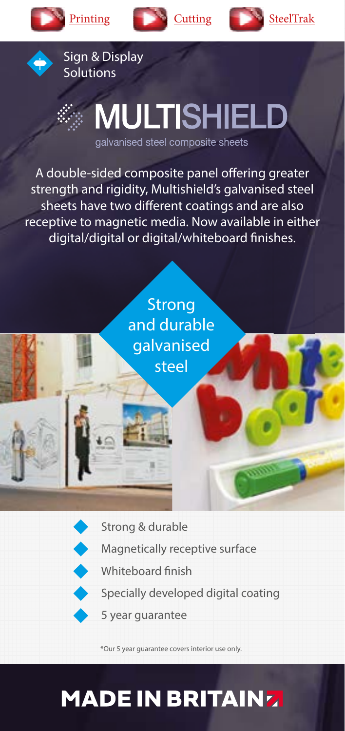











## **MULTISHIELD**

galvanised steel composite sheets

A double-sided composite panel offering greater strength and rigidity, Multishield's galvanised steel sheets have two different coatings and are also receptive to magnetic media. Now available in either digital/digital or digital/whiteboard finishes.





- Magnetically receptive surface
- Whiteboard finish
	- Specially developed digital coating
	- 5 year guarantee

\*Our 5 year guarantee covers interior use only.

## **MADE IN BRITAINZ**